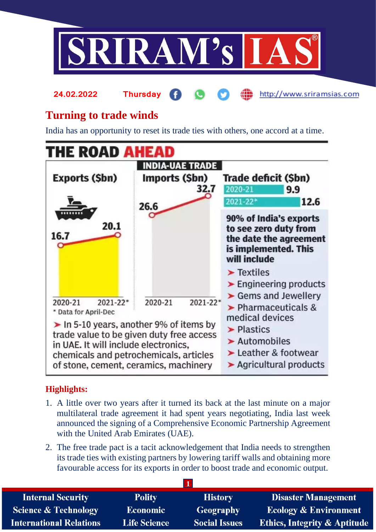

#### http://www.sriramsias.com **24.02.2022 Thursday**

# **Turning to trade winds**

India has an opportunity to reset its trade ties with others, one accord at a time.



## **Highlights:**

- 1. A little over two years after it turned its back at the last minute on a major multilateral trade agreement it had spent years negotiating, India last week announced the signing of a Comprehensive Economic Partnership Agreement with the United Arab Emirates (UAE).
- 2. The free trade pact is a tacit acknowledgement that India needs to strengthen its trade ties with existing partners by lowering tariff walls and obtaining more favourable access for its exports in order to boost trade and economic output.

| <b>Internal Security</b>        | <b>Polity</b>       | <b>History</b>       | <b>Disaster Management</b>              |
|---------------------------------|---------------------|----------------------|-----------------------------------------|
| <b>Science &amp; Technology</b> | <b>Economic</b>     | Geography            | <b>Ecology &amp; Environment</b>        |
| <b>International Relations</b>  | <b>Life Science</b> | <b>Social Issues</b> | <b>Ethics, Integrity &amp; Aptitude</b> |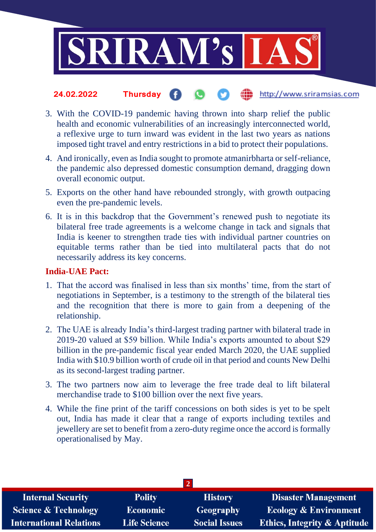

#### http://www.sriramsias.com **24.02.2022 Thursday**

- 3. With the COVID-19 pandemic having thrown into sharp relief the public health and economic vulnerabilities of an increasingly interconnected world, a reflexive urge to turn inward was evident in the last two years as nations imposed tight travel and entry restrictions in a bid to protect their populations.
- 4. And ironically, even as India sought to promote atmanirbharta or self-reliance, the pandemic also depressed domestic consumption demand, dragging down overall economic output.
- 5. Exports on the other hand have rebounded strongly, with growth outpacing even the pre-pandemic levels.
- 6. It is in this backdrop that the Government's renewed push to negotiate its bilateral free trade agreements is a welcome change in tack and signals that India is keener to strengthen trade ties with individual partner countries on equitable terms rather than be tied into multilateral pacts that do not necessarily address its key concerns.

### **India-UAE Pact:**

- 1. That the accord was finalised in less than six months' time, from the start of negotiations in September, is a testimony to the strength of the bilateral ties and the recognition that there is more to gain from a deepening of the relationship.
- 2. The UAE is already India's third-largest trading partner with bilateral trade in 2019-20 valued at \$59 billion. While India's exports amounted to about \$29 billion in the pre-pandemic fiscal year ended March 2020, the UAE supplied India with \$10.9 billion worth of crude oil in that period and counts New Delhi as its second-largest trading partner.
- 3. The two partners now aim to leverage the free trade deal to lift bilateral merchandise trade to \$100 billion over the next five years.
- 4. While the fine print of the tariff concessions on both sides is yet to be spelt out, India has made it clear that a range of exports including textiles and jewellery are set to benefit from a zero-duty regime once the accord is formally operationalised by May.

| <b>Internal Security</b>        | <b>Polity</b>       | <b>History</b>       | Disaster Management                     |
|---------------------------------|---------------------|----------------------|-----------------------------------------|
| <b>Science &amp; Technology</b> | <b>Economic</b>     | <b>Geography</b>     | <b>Ecology &amp; Environment</b>        |
| <b>International Relations</b>  | <b>Life Science</b> | <b>Social Issues</b> | <b>Ethics, Integrity &amp; Aptitude</b> |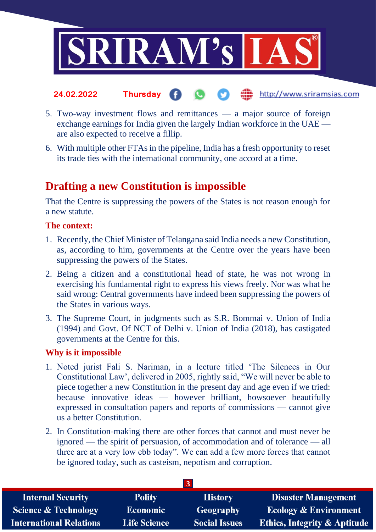

- **24.02.2022 Thursday** the http://www.sriramsias.com
- 5. Two-way investment flows and remittances a major source of foreign exchange earnings for India given the largely Indian workforce in the UAE are also expected to receive a fillip.
- 6. With multiple other FTAs in the pipeline, India has a fresh opportunity to reset its trade ties with the international community, one accord at a time.

## **Drafting a new Constitution is impossible**

That the Centre is suppressing the powers of the States is not reason enough for a new statute.

### **The context:**

- 1. Recently, the Chief Minister of Telangana said India needs a new Constitution, as, according to him, governments at the Centre over the years have been suppressing the powers of the States.
- 2. Being a citizen and a constitutional head of state, he was not wrong in exercising his fundamental right to express his views freely. Nor was what he said wrong: Central governments have indeed been suppressing the powers of the States in various ways.
- 3. The Supreme Court, in judgments such as S.R. Bommai v. Union of India (1994) and Govt. Of NCT of Delhi v. Union of India (2018), has castigated governments at the Centre for this.

### **Why is it impossible**

- 1. Noted jurist Fali S. Nariman, in a lecture titled 'The Silences in Our Constitutional Law', delivered in 2005, rightly said, "We will never be able to piece together a new Constitution in the present day and age even if we tried: because innovative ideas — however brilliant, howsoever beautifully expressed in consultation papers and reports of commissions — cannot give us a better Constitution.
- 2. In Constitution-making there are other forces that cannot and must never be ignored — the spirit of persuasion, of accommodation and of tolerance — all three are at a very low ebb today". We can add a few more forces that cannot be ignored today, such as casteism, nepotism and corruption.

| <b>Internal Security</b>        | <b>Polity</b>       | <b>History</b>       | <b>Disaster Management</b>              |
|---------------------------------|---------------------|----------------------|-----------------------------------------|
| <b>Science &amp; Technology</b> | <b>Economic</b>     | Geography            | <b>Ecology &amp; Environment</b>        |
| <b>International Relations</b>  | <b>Life Science</b> | <b>Social Issues</b> | <b>Ethics, Integrity &amp; Aptitude</b> |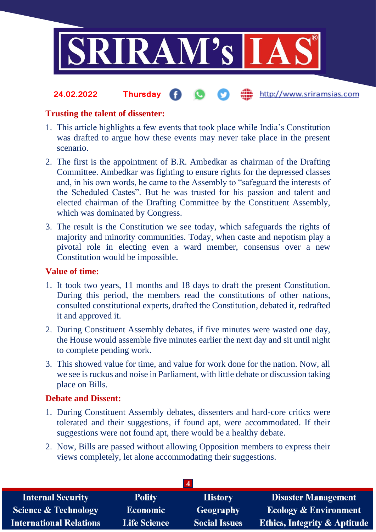

#### the http://www.sriramsias.com **24.02.2022 Thursday**

### **Trusting the talent of dissenter:**

- 1. This article highlights a few events that took place while India's Constitution was drafted to argue how these events may never take place in the present scenario.
- 2. The first is the appointment of B.R. Ambedkar as chairman of the Drafting Committee. Ambedkar was fighting to ensure rights for the depressed classes and, in his own words, he came to the Assembly to "safeguard the interests of the Scheduled Castes". But he was trusted for his passion and talent and elected chairman of the Drafting Committee by the Constituent Assembly, which was dominated by Congress.
- 3. The result is the Constitution we see today, which safeguards the rights of majority and minority communities. Today, when caste and nepotism play a pivotal role in electing even a ward member, consensus over a new Constitution would be impossible.

### **Value of time:**

- 1. It took two years, 11 months and 18 days to draft the present Constitution. During this period, the members read the constitutions of other nations, consulted constitutional experts, drafted the Constitution, debated it, redrafted it and approved it.
- 2. During Constituent Assembly debates, if five minutes were wasted one day, the House would assemble five minutes earlier the next day and sit until night to complete pending work.
- 3. This showed value for time, and value for work done for the nation. Now, all we see is ruckus and noise in Parliament, with little debate or discussion taking place on Bills.

### **Debate and Dissent:**

- 1. During Constituent Assembly debates, dissenters and hard-core critics were tolerated and their suggestions, if found apt, were accommodated. If their suggestions were not found apt, there would be a healthy debate.
- 2. Now, Bills are passed without allowing Opposition members to express their views completely, let alone accommodating their suggestions.

| <b>Internal Security</b>        | <b>Polity</b>       | <b>History</b>       | <b>Disaster Management</b>              |
|---------------------------------|---------------------|----------------------|-----------------------------------------|
| <b>Science &amp; Technology</b> | <b>Economic</b>     | Geography            | <b>Ecology &amp; Environment</b>        |
| <b>International Relations</b>  | <b>Life Science</b> | <b>Social Issues</b> | <b>Ethics, Integrity &amp; Aptitude</b> |